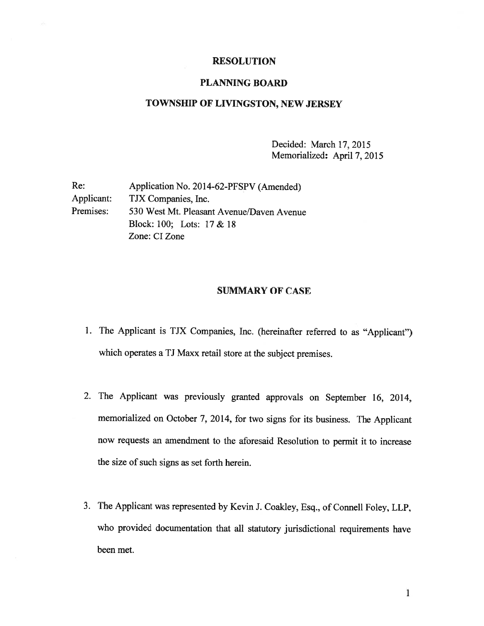## RESOLUTION

## PLANNING BOARD

## TOWNSHIP OF LIVINGSTON, NEW JERSEY

Decided: March 17, 2015 Memorialized: April 7, 2015

| Re:        | Application No. 2014-62-PFSPV (Amended)   |
|------------|-------------------------------------------|
| Applicant: | TJX Companies, Inc.                       |
| Premises:  | 530 West Mt. Pleasant Avenue/Daven Avenue |
|            | Block: 100; Lots: 17 & 18                 |
|            | Zone: CI Zone                             |
|            |                                           |

## SUMMARY OF CASE

- 1. The Applicant is TJX Companies, Inc. (hereinafter referred to as "Applicant") which operates <sup>a</sup> TJ Maxx retail store at the subject premises.
- 2. The Applicant was previously granted approvals on September 16, 2014, memorialized on October 7, 2014, for two signs for its business. The Applicant now requests an amendment to the aforesaid Resolution to permit it to increase the size of such signs as set forth herein.
- 3. The Applicant was represented by Kevin J. Coakley, Esq., of Connell Foley, LLP, who provided documentation that all statutory jurisdictional requirements have been met.

1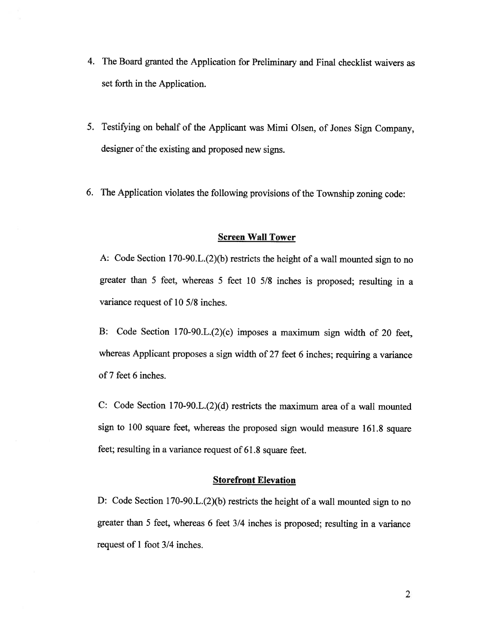- 4. The Board granted the Application for Preliminary and Final checklist waivers as set forth in the Application.
- 5. Testifying on behalf of the Applicant was Mimi Olsen, of Jones Sign Company, designer of the existing and proposed new signs.
- 6. The Application violates the following provisions of the Township zoning code:

### Screen Wall Tower

A: Code Section 170-90.L.(2)(b) restricts the height of a wall mounted sign to no greater than <sup>5</sup> feet, whereas <sup>5</sup> feet <sup>10</sup> 5/8 inches is proposed; resulting in <sup>a</sup> variance request of 10 5/8 inches.

B: Code Section l70-90.L.(2)(c) imposes <sup>a</sup> maximum sign width of <sup>20</sup> feet, whereas Applicant proposes <sup>a</sup> sign width of <sup>27</sup> feet <sup>6</sup> inches; requiring <sup>a</sup> variance of 7 feet 6 inches.

C: Code Section 170-90.L.(2)(d) restricts the maximum area of <sup>a</sup> wall mounted sign to <sup>100</sup> square feet, whereas the proposed sign would measure 161.8 square feet; resulting in <sup>a</sup> variance request of 61.8 square feet.

## **Storefront Elevation**

D: Code Section 170-90.L.(2)(b) restricts the height of <sup>a</sup> wall mounted sign to no greater than <sup>5</sup> feet, whereas <sup>6</sup> feet 3/4 inches is proposed; resulting in <sup>a</sup> variance request of 1 foot 3/4 inches.

2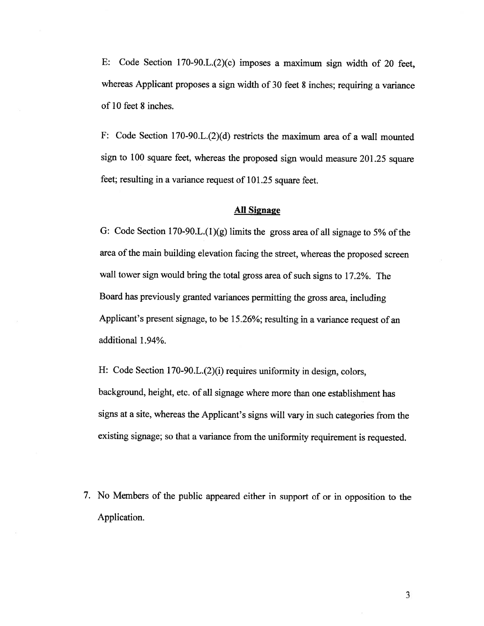E: Code Section 170-90.L.(2)(c) imposes <sup>a</sup> maximum sign width of <sup>20</sup> feet, whereas Applicant proposes a sign width of 30 feet 8 inches; requiring a variance of 10 feet 8 inches.

F: Code Section 170-90.L.(2)(d) restricts the maximum area of <sup>a</sup> wall mounted sign to <sup>100</sup> square feet, whereas the proposed sign would measure 201.25 square feet; resulting in <sup>a</sup> variance request of 101.25 square feet.

## All Signage

G: Code Section 170-90.L. $(1)(g)$  limits the gross area of all signage to 5% of the area of the main building elevation facing the street, whereas the proposed screen wall tower sign would bring the total gross area of such signs to 17.2%. The Board has previously granted variances permitting the gross area, including Applicant's present signage, to be 15.26%; resulting in <sup>a</sup> variance request of an additional 1.94%.

H: Code Section 170-90.L.(2)(i) requires uniformity in design, colors, background, height, etc. of all signage where more than one establishment has signs at <sup>a</sup> site, whereas the Applicant's signs will vary in such categories from the existing signage; so that <sup>a</sup> variance from the uniformity requirement is requested.

7. No Members of the public appeared either in support of or in opposition to the Application.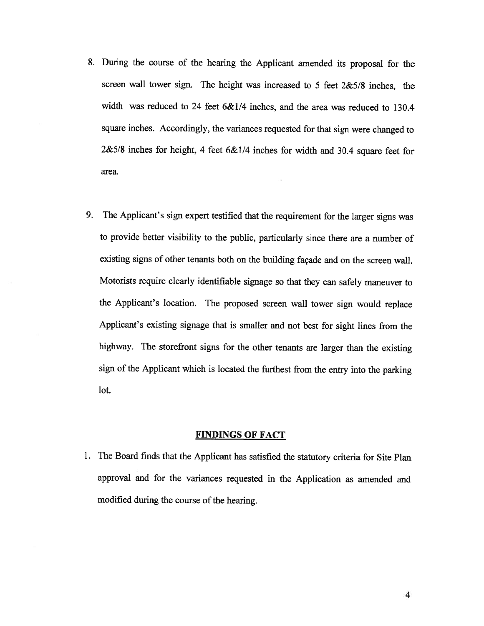- 8. During the course of the hearing the Applicant amended its proposal for the screen wall tower sign. The height was increased to <sup>5</sup> feet 2&5/8 inches, the width was reduced to 24 feet 6&1/4 inches, and the area was reduced to 130.4 square inches. Accordingly, the variances requested for that sign were changed to 2&5/8 inches for height, <sup>4</sup> feet 6&1/4 inches for width and 30.4 square feet for area.
- 9. The Applicant's sign expert testified that the requirement for the larger signs was to provide better visibility to the public, particularly since there are <sup>a</sup> number of existing signs of other tenants both on the building façade and on the screen wall. Motorists require clearly identifiable signage so that they can safely maneuver to the Applicant's location. The proposed screen wall tower sign would replace Applicant's existing signage that is smaller and not best for sight lines from the highway. The storefront signs for the other tenants are larger than the existing sign of the Applicant which is located the furthest from the entry into the parking lot.

## FINDINGS OF FACT

1. The Board finds that the Applicant has satisfied the statutory criteria for Site Plan approval and for the variances requested in the Application as amended and modified during the course of the hearing.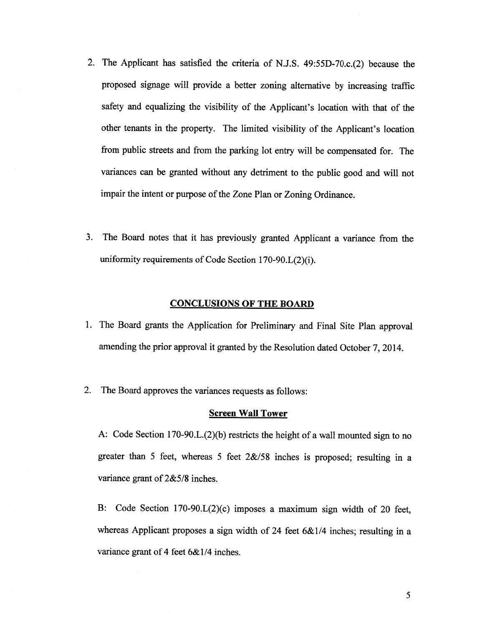- 2. The Applicant has satisfied the criteria of N.J.S. 49:55D-70.c.(2) because the proposed signage will provide <sup>a</sup> better zoning alternative by increasing traffic safety and equalizing the visibility of the Applicant's location with that of the other tenants in the property. The limited visibility of the Applicant's location from public streets and from the parking lot entry will be compensated for. The variances can be granted without any detriment to the public good and will not impair the intent or purpose of the Zone Plan or Zoning Ordinance.
- 3. The Board notes that it has previously granted Applicant <sup>a</sup> variance from the uniformity requirements of Code Section 170-90.L(2)(i).

# CONCLUSIONS OF THE BOARD

- 1. The Board grants the Application for Preliminary and Final Site Plan approval amending the prior approval it granted by the Resolution dated October 7, 2014.
- 2. The Board approves the variances requests as follows:

#### Screen Wall Tower

A: Code Section 170-90.L.(2)(b) restricts the height of <sup>a</sup> wall mounted sign to no greater than <sup>5</sup> feet, whereas <sup>5</sup> feet 2&/58 inches is proposed; resulting in <sup>a</sup> variance grant of 2&5/8 inches.

B: Code Section 170-90.L(2)(c) imposes <sup>a</sup> maximum sign width of <sup>20</sup> feet, whereas Applicant proposes a sign width of 24 feet 6&1/4 inches; resulting in a variance grant of 4 feet 6&1/4 inches.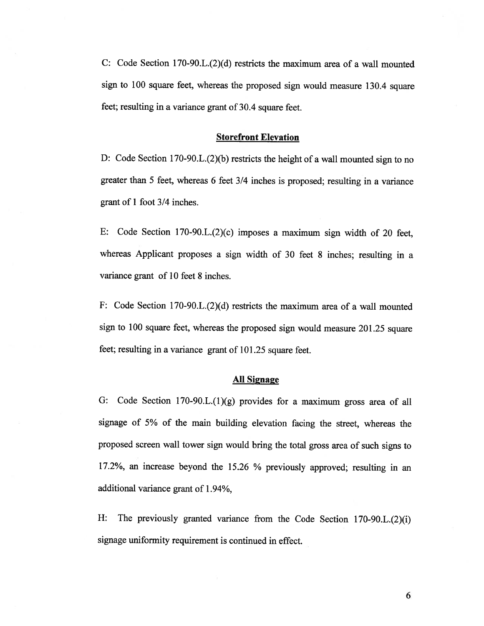C: Code Section 170-90.L.(2)(d) restricts the maximum area of <sup>a</sup> wall mounted sign to <sup>100</sup> square feet, whereas the propose<sup>d</sup> sign would measure 130.4 square feet; resulting in <sup>a</sup> variance gran<sup>t</sup> of 30.4 square feet.

#### Storefront Elevation

D: Code Section 170-90.L.(2)(b) restricts the height of <sup>a</sup> wall mounted sign to no greater than <sup>5</sup> feet, whereas <sup>6</sup> feet 3/4 inches is proposed; resulting in <sup>a</sup> variance gran<sup>t</sup> of 1 foot 3/4 inches.

E: Code Section 170-90.L.(2)(c) imposes <sup>a</sup> maximum sign width of <sup>20</sup> feet, whereas Applicant proposes <sup>a</sup> sign width of <sup>30</sup> feet <sup>8</sup> inches; resulting in <sup>a</sup> variance gran<sup>t</sup> of 10 feet 8 inches.

F: Code Section 170-90.L.(2)(d) restricts the maximum area of <sup>a</sup> wall mounted sign to <sup>100</sup> square feet, whereas the propose<sup>d</sup> sign would measure 201.25 square feet; resulting in <sup>a</sup> variance gran<sup>t</sup> of 101.25 square feet.

### All Signage

G: Code Section 170-90.L.(1)(g) provides for <sup>a</sup> maximum gross area of all signage of 5% of the main building elevation facing the street, whereas the propose<sup>d</sup> screen wall tower sign would bring the total gross area of such signs to 17.2%, an increase beyond the 15.26 % previously approved; resulting in an additional variance gran<sup>t</sup> of 1.94%,

H: The previously granted variance from the Code Section 170-90.L.(2)(i) signage uniformity requirement is continued in effect.

6